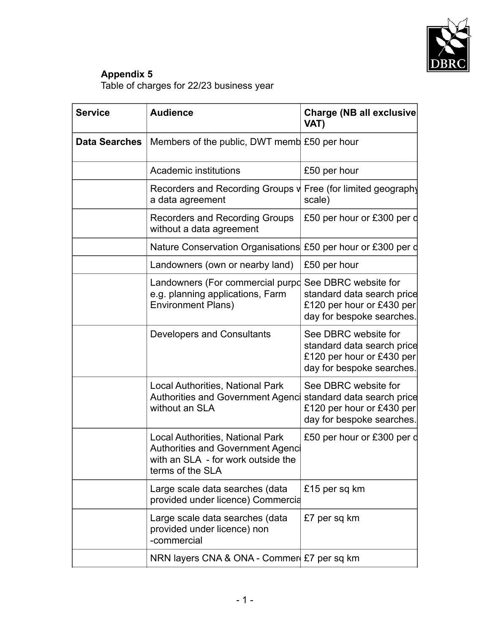

## **Appendix 5**

Table of charges for 22/23 business year

| <b>Service</b>       | <b>Audience</b>                                                                                                                               | <b>Charge (NB all exclusive</b><br>VAT)                                                                      |
|----------------------|-----------------------------------------------------------------------------------------------------------------------------------------------|--------------------------------------------------------------------------------------------------------------|
| <b>Data Searches</b> | Members of the public, DWT memb £50 per hour                                                                                                  |                                                                                                              |
|                      | <b>Academic institutions</b>                                                                                                                  | £50 per hour                                                                                                 |
|                      | Recorders and Recording Groups v<br>a data agreement                                                                                          | Free (for limited geography<br>scale)                                                                        |
|                      | Recorders and Recording Groups<br>without a data agreement                                                                                    | £50 per hour or £300 per d                                                                                   |
|                      | Nature Conservation Organisations £50 per hour or £300 per d                                                                                  |                                                                                                              |
|                      | Landowners (own or nearby land)                                                                                                               | £50 per hour                                                                                                 |
|                      | Landowners (For commercial purpd<br>e.g. planning applications, Farm<br><b>Environment Plans)</b>                                             | See DBRC website for<br>standard data search price<br>£120 per hour or £430 per<br>day for bespoke searches. |
|                      | <b>Developers and Consultants</b>                                                                                                             | See DBRC website for<br>standard data search price<br>£120 per hour or £430 per<br>day for bespoke searches. |
|                      | <b>Local Authorities, National Park</b><br><b>Authorities and Government Agenci</b><br>without an SLA                                         | See DBRC website for<br>standard data search price<br>£120 per hour or £430 per<br>day for bespoke searches. |
|                      | <b>Local Authorities, National Park</b><br><b>Authorities and Government Agenci</b><br>with an SLA - for work outside the<br>terms of the SLA | £50 per hour or £300 per d                                                                                   |
|                      | Large scale data searches (data<br>provided under licence) Commercia                                                                          | £15 per sq km                                                                                                |
|                      | Large scale data searches (data<br>provided under licence) non<br>-commercial                                                                 | £7 per sq km                                                                                                 |
|                      | NRN layers CNA & ONA - Commer £7 per sq km                                                                                                    |                                                                                                              |